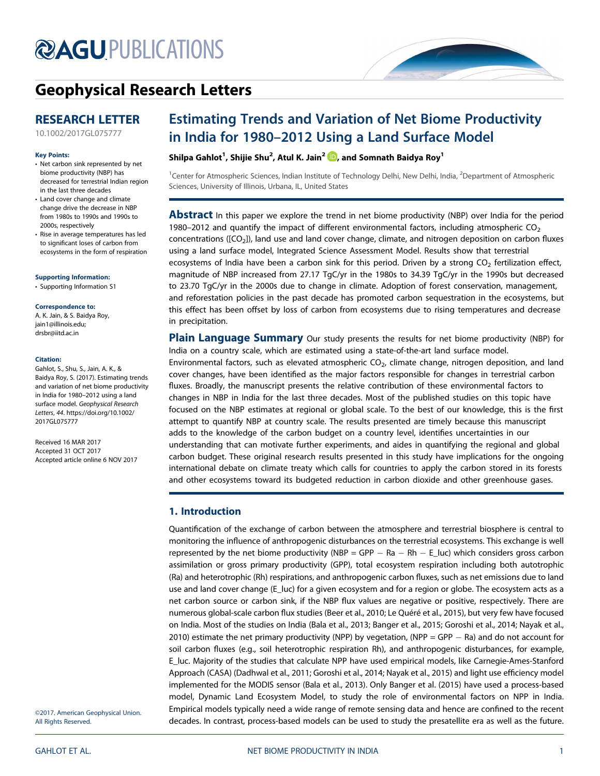# **@AGU[PUBLICATIONS](http://publications.agu.org/journals/)**

# [Geophysical Research Letters](http://onlinelibrary.wiley.com/journal/10.1002/(ISSN)1944-8007)

# RESEARCH LETTER

[10.1002/2017GL075777](http://dx.doi.org/10.1002/2017GL075777)

#### Key Points:

- Net carbon sink represented by net biome productivity (NBP) has decreased for terrestrial Indian region in the last three decades
- Land cover change and climate change drive the decrease in NBP from 1980s to 1990s and 1990s to 2000s, respectively
- Rise in average temperatures has led to significant loses of carbon from ecosystems in the form of respiration

[Supporting Information:](http://dx.doi.org/10.1002/2017GL075777)

[•](http://dx.doi.org/10.1002/2017GL075777) [Supporting Information S1](http://dx.doi.org/10.1002/2017GL075777)

#### Correspondence to:

A. K. Jain, & S. Baidya Roy, [jain1@illinois.edu](mailto:jain1@illinois.edu); [drsbr@iitd.ac.in](mailto:drsbr@iitd.ac.in)

#### Citation:

Gahlot, S., Shu, S., Jain, A. K., & Baidya Roy, S. (2017). Estimating trends and variation of net biome productivity in India for 1980–2012 using a land surface model. Geophysical Research Letters, 44. [https://doi.org/10.1002/](https://doi.org/10.1002/2017GL075777) [2017GL075777](https://doi.org/10.1002/2017GL075777)

Received 16 MAR 2017 Accepted 31 OCT 2017 Accepted article online 6 NOV 2017

©2017. American Geophysical Union. All Rights Reserved.

# Estimating Trends and Variation of Net Biome Productivity in India for 1980–2012 Using a Land Surface Model

Shilpa Gahlot $^1$ , Shijie Shu $^2$ , Atul K. Jain $^2$   $\blacksquare$ , and Somnath Baidya Roy $^1$ 

<sup>1</sup>Center for Atmospheric Sciences, Indian Institute of Technology Delhi, New Delhi, India, <sup>2</sup>Department of Atmospheric Sciences, University of Illinois, Urbana, IL, United States

Abstract In this paper we explore the trend in net biome productivity (NBP) over India for the period 1980–2012 and quantify the impact of different environmental factors, including atmospheric  $CO<sub>2</sub>$ concentrations ( $[CO<sub>2</sub>)]$ , land use and land cover change, climate, and nitrogen deposition on carbon fluxes using a land surface model, Integrated Science Assessment Model. Results show that terrestrial ecosystems of India have been a carbon sink for this period. Driven by a strong  $CO<sub>2</sub>$  fertilization effect, magnitude of NBP increased from 27.17 TgC/yr in the 1980s to 34.39 TgC/yr in the 1990s but decreased to 23.70 TgC/yr in the 2000s due to change in climate. Adoption of forest conservation, management, and reforestation policies in the past decade has promoted carbon sequestration in the ecosystems, but this effect has been offset by loss of carbon from ecosystems due to rising temperatures and decrease in precipitation.

**Plain Language Summary** Our study presents the results for net biome productivity (NBP) for India on a country scale, which are estimated using a state-of-the-art land surface model. Environmental factors, such as elevated atmospheric CO<sub>2</sub>, climate change, nitrogen deposition, and land cover changes, have been identified as the major factors responsible for changes in terrestrial carbon fluxes. Broadly, the manuscript presents the relative contribution of these environmental factors to changes in NBP in India for the last three decades. Most of the published studies on this topic have focused on the NBP estimates at regional or global scale. To the best of our knowledge, this is the first attempt to quantify NBP at country scale. The results presented are timely because this manuscript adds to the knowledge of the carbon budget on a country level, identifies uncertainties in our understanding that can motivate further experiments, and aides in quantifying the regional and global carbon budget. These original research results presented in this study have implications for the ongoing international debate on climate treaty which calls for countries to apply the carbon stored in its forests and other ecosystems toward its budgeted reduction in carbon dioxide and other greenhouse gases.

# 1. Introduction

Quantification of the exchange of carbon between the atmosphere and terrestrial biosphere is central to monitoring the influence of anthropogenic disturbances on the terrestrial ecosystems. This exchange is well represented by the net biome productivity (NBP = GPP  $-$  Ra  $-$  Rh  $-$  E\_luc) which considers gross carbon assimilation or gross primary productivity (GPP), total ecosystem respiration including both autotrophic (Ra) and heterotrophic (Rh) respirations, and anthropogenic carbon fluxes, such as net emissions due to land use and land cover change (E\_luc) for a given ecosystem and for a region or globe. The ecosystem acts as a net carbon source or carbon sink, if the NBP flux values are negative or positive, respectively. There are numerous global-scale carbon flux studies (Beer et al., 2010; Le Quéré et al., 2015), but very few have focused on India. Most of the studies on India (Bala et al., 2013; Banger et al., 2015; Goroshi et al., 2014; Nayak et al., 2010) estimate the net primary productivity (NPP) by vegetation, (NPP = GPP  $-$  Ra) and do not account for soil carbon fluxes (e.g., soil heterotrophic respiration Rh), and anthropogenic disturbances, for example, E\_luc. Majority of the studies that calculate NPP have used empirical models, like Carnegie-Ames-Stanford Approach (CASA) (Dadhwal et al., 2011; Goroshi et al., 2014; Nayak et al., 2015) and light use efficiency model implemented for the MODIS sensor (Bala et al., 2013). Only Banger et al. (2015) have used a process-based model, Dynamic Land Ecosystem Model, to study the role of environmental factors on NPP in India. Empirical models typically need a wide range of remote sensing data and hence are confined to the recent decades. In contrast, process-based models can be used to study the presatellite era as well as the future.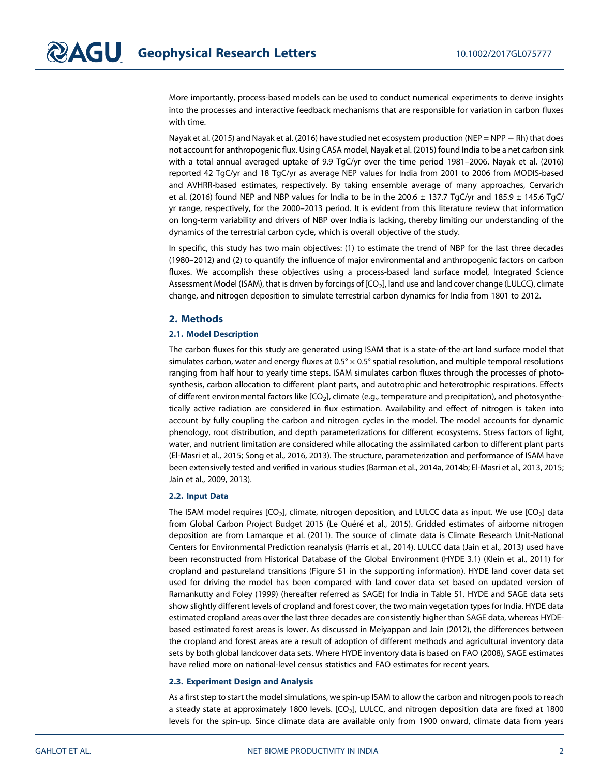More importantly, process-based models can be used to conduct numerical experiments to derive insights into the processes and interactive feedback mechanisms that are responsible for variation in carbon fluxes with time.

Nayak et al. (2015) and Nayak et al. (2016) have studied net ecosystem production (NEP = NPP - Rh) that does not account for anthropogenic flux. Using CASA model, Nayak et al. (2015) found India to be a net carbon sink with a total annual averaged uptake of 9.9 TgC/yr over the time period 1981–2006. Nayak et al. (2016) reported 42 TgC/yr and 18 TgC/yr as average NEP values for India from 2001 to 2006 from MODIS-based and AVHRR-based estimates, respectively. By taking ensemble average of many approaches, Cervarich et al. (2016) found NEP and NBP values for India to be in the 200.6  $\pm$  137.7 TgC/yr and 185.9  $\pm$  145.6 TgC/ yr range, respectively, for the 2000–2013 period. It is evident from this literature review that information on long-term variability and drivers of NBP over India is lacking, thereby limiting our understanding of the dynamics of the terrestrial carbon cycle, which is overall objective of the study.

In specific, this study has two main objectives: (1) to estimate the trend of NBP for the last three decades (1980–2012) and (2) to quantify the influence of major environmental and anthropogenic factors on carbon fluxes. We accomplish these objectives using a process-based land surface model, Integrated Science Assessment Model (ISAM), that is driven by forcings of [CO<sub>2</sub>], land use and land cover change (LULCC), climate change, and nitrogen deposition to simulate terrestrial carbon dynamics for India from 1801 to 2012.

# 2. Methods

## 2.1. Model Description

The carbon fluxes for this study are generated using ISAM that is a state-of-the-art land surface model that simulates carbon, water and energy fluxes at  $0.5^\circ \times 0.5^\circ$  spatial resolution, and multiple temporal resolutions ranging from half hour to yearly time steps. ISAM simulates carbon fluxes through the processes of photosynthesis, carbon allocation to different plant parts, and autotrophic and heterotrophic respirations. Effects of different environmental factors like [CO<sub>2</sub>], climate (e.g., temperature and precipitation), and photosynthetically active radiation are considered in flux estimation. Availability and effect of nitrogen is taken into account by fully coupling the carbon and nitrogen cycles in the model. The model accounts for dynamic phenology, root distribution, and depth parameterizations for different ecosystems. Stress factors of light, water, and nutrient limitation are considered while allocating the assimilated carbon to different plant parts (El-Masri et al., 2015; Song et al., 2016, 2013). The structure, parameterization and performance of ISAM have been extensively tested and verified in various studies (Barman et al., 2014a, 2014b; El-Masri et al., 2013, 2015; Jain et al., 2009, 2013).

#### 2.2. Input Data

The ISAM model requires  $[CO_2]$ , climate, nitrogen deposition, and LULCC data as input. We use  $[CO_2]$  data from Global Carbon Project Budget 2015 (Le Quéré et al., 2015). Gridded estimates of airborne nitrogen deposition are from Lamarque et al. (2011). The source of climate data is Climate Research Unit-National Centers for Environmental Prediction reanalysis (Harris et al., 2014). LULCC data (Jain et al., 2013) used have been reconstructed from Historical Database of the Global Environment (HYDE 3.1) (Klein et al., 2011) for cropland and pastureland transitions (Figure S1 in the supporting information). HYDE land cover data set used for driving the model has been compared with land cover data set based on updated version of Ramankutty and Foley (1999) (hereafter referred as SAGE) for India in Table S1. HYDE and SAGE data sets show slightly different levels of cropland and forest cover, the two main vegetation types for India. HYDE data estimated cropland areas over the last three decades are consistently higher than SAGE data, whereas HYDEbased estimated forest areas is lower. As discussed in Meiyappan and Jain (2012), the differences between the cropland and forest areas are a result of adoption of different methods and agricultural inventory data sets by both global landcover data sets. Where HYDE inventory data is based on FAO (2008), SAGE estimates have relied more on national-level census statistics and FAO estimates for recent years.

#### 2.3. Experiment Design and Analysis

As a first step to start the model simulations, we spin-up ISAM to allow the carbon and nitrogen pools to reach a steady state at approximately 1800 levels.  $[CO<sub>2</sub>]$ , LULCC, and nitrogen deposition data are fixed at 1800 levels for the spin-up. Since climate data are available only from 1900 onward, climate data from years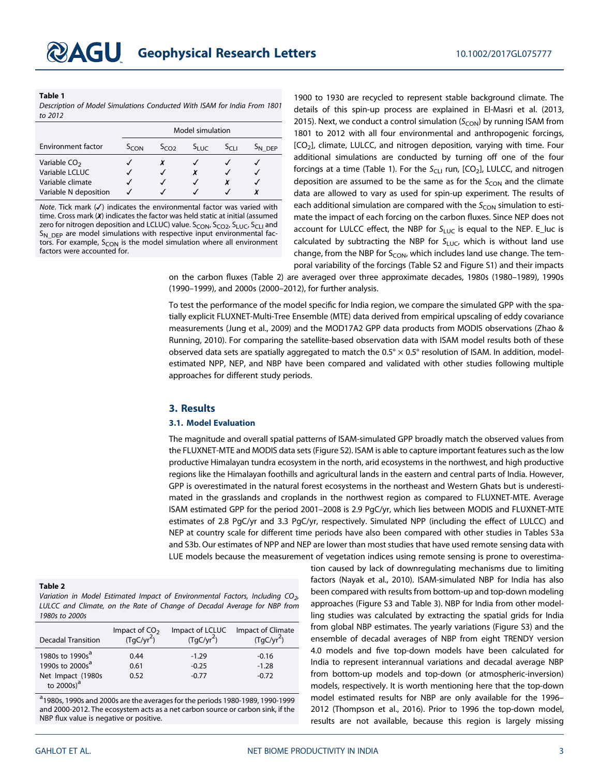#### Table 1

Description of Model Simulations Conducted With ISAM for India From 1801 to 2012

|                                                                                         | Model simulation |              |           |           |                    |
|-----------------------------------------------------------------------------------------|------------------|--------------|-----------|-----------|--------------------|
| <b>Environment factor</b>                                                               | $S_{\text{CON}}$ | $S_{C0}$     | $S_{LUC}$ | $S_{C11}$ | S <sub>N</sub> DEP |
| Variable CO <sub>2</sub><br>Variable LCLUC<br>Variable climate<br>Variable N deposition |                  | $\checkmark$ | x         | √         |                    |

Note. Tick mark  $(V)$  indicates the environmental factor was varied with time. Cross mark (✗) indicates the factor was held static at initial (assumed zero for nitrogen deposition and LCLUC) value. S<sub>CON</sub>, S<sub>CO2</sub>, S<sub>LUC</sub>, S<sub>CLI</sub> and  $S_{\rm N\,DEP}$  are model simulations with respective input environmental factors. For example,  $S_{CON}$  is the model simulation where all environment factors were accounted for.

1900 to 1930 are recycled to represent stable background climate. The details of this spin-up process are explained in El-Masri et al. (2013, 2015). Next, we conduct a control simulation  $(S_{CON})$  by running ISAM from 1801 to 2012 with all four environmental and anthropogenic forcings, [CO<sub>2</sub>], climate, LULCC, and nitrogen deposition, varying with time. Four additional simulations are conducted by turning off one of the four forcings at a time (Table 1). For the  $S_{CL1}$  run,  $[CO_2]$ , LULCC, and nitrogen deposition are assumed to be the same as for the  $S<sub>CON</sub>$  and the climate data are allowed to vary as used for spin-up experiment. The results of each additional simulation are compared with the  $S_{CON}$  simulation to estimate the impact of each forcing on the carbon fluxes. Since NEP does not account for LULCC effect, the NBP for  $S_{LUC}$  is equal to the NEP. E\_luc is calculated by subtracting the NBP for  $S_{LUC}$ , which is without land use change, from the NBP for  $S_{CON}$ , which includes land use change. The temporal variability of the forcings (Table S2 and Figure S1) and their impacts

on the carbon fluxes (Table 2) are averaged over three approximate decades, 1980s (1980–1989), 1990s (1990–1999), and 2000s (2000–2012), for further analysis.

To test the performance of the model specific for India region, we compare the simulated GPP with the spatially explicit FLUXNET-Multi-Tree Ensemble (MTE) data derived from empirical upscaling of eddy covariance measurements (Jung et al., 2009) and the MOD17A2 GPP data products from MODIS observations (Zhao & Running, 2010). For comparing the satellite-based observation data with ISAM model results both of these observed data sets are spatially aggregated to match the  $0.5^{\circ} \times 0.5^{\circ}$  resolution of ISAM. In addition, modelestimated NPP, NEP, and NBP have been compared and validated with other studies following multiple approaches for different study periods.

## 3. Results

#### 3.1. Model Evaluation

The magnitude and overall spatial patterns of ISAM-simulated GPP broadly match the observed values from the FLUXNET-MTE and MODIS data sets (Figure S2). ISAM is able to capture important features such as the low productive Himalayan tundra ecosystem in the north, arid ecosystems in the northwest, and high productive regions like the Himalayan foothills and agricultural lands in the eastern and central parts of India. However, GPP is overestimated in the natural forest ecosystems in the northeast and Western Ghats but is underestimated in the grasslands and croplands in the northwest region as compared to FLUXNET-MTE. Average ISAM estimated GPP for the period 2001–2008 is 2.9 PgC/yr, which lies between MODIS and FLUXNET-MTE estimates of 2.8 PgC/yr and 3.3 PgC/yr, respectively. Simulated NPP (including the effect of LULCC) and NEP at country scale for different time periods have also been compared with other studies in Tables S3a and S3b. Our estimates of NPP and NEP are lower than most studies that have used remote sensing data with LUE models because the measurement of vegetation indices using remote sensing is prone to overestima-

#### Table 2

Variation in Model Estimated Impact of Environmental Factors, Including  $CO_{2}$ , LULCC and Climate, on the Rate of Change of Decadal Average for NBP from 1980s to 2000s

| <b>Decadal Transition</b>                                                                        | Impact of $CO2$               | Impact of LCLUC               | Impact of Climate             |
|--------------------------------------------------------------------------------------------------|-------------------------------|-------------------------------|-------------------------------|
|                                                                                                  | $\int$ (TgC/yr <sup>2</sup> ) | $(TgC/yr^2)$                  | $(TgC/yr^2)$                  |
| 1980s to 1990s <sup>a</sup><br>1990s to 2000s <sup>a</sup><br>Net Impact (1980s<br>to $2000s)^a$ | 0.44<br>0.61<br>0.52          | $-1.29$<br>$-0.25$<br>$-0.77$ | $-0.16$<br>$-1.28$<br>$-0.72$ |

<sup>a</sup> 1980s, 1990s and 2000s are the averages for the periods 1980-1989, 1990-1999 and 2000-2012. The ecosystem acts as a net carbon source or carbon sink, if the NBP flux value is negative or positive.

tion caused by lack of downregulating mechanisms due to limiting factors (Nayak et al., 2010). ISAM-simulated NBP for India has also been compared with results from bottom-up and top-down modeling approaches (Figure S3 and Table 3). NBP for India from other modelling studies was calculated by extracting the spatial grids for India from global NBP estimates. The yearly variations (Figure S3) and the ensemble of decadal averages of NBP from eight TRENDY version 4.0 models and five top-down models have been calculated for India to represent interannual variations and decadal average NBP from bottom-up models and top-down (or atmospheric-inversion) models, respectively. It is worth mentioning here that the top-down model estimated results for NBP are only available for the 1996– 2012 (Thompson et al., 2016). Prior to 1996 the top-down model, results are not available, because this region is largely missing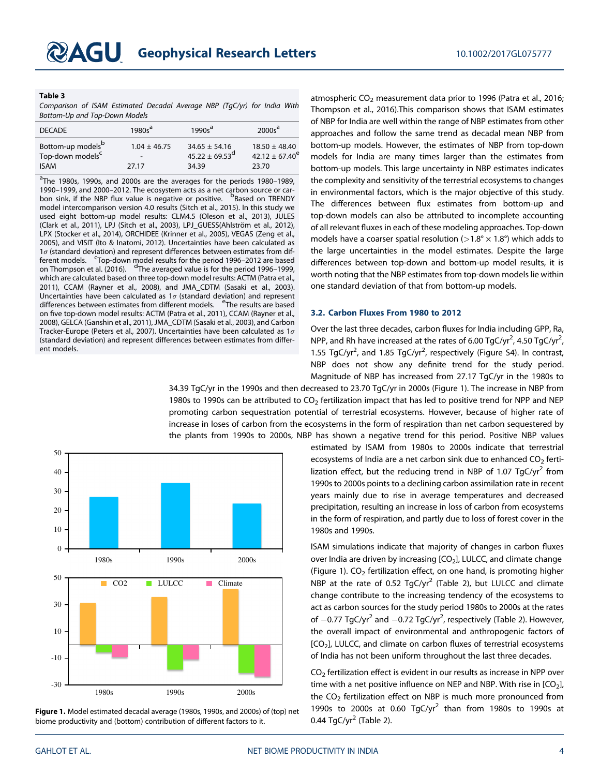#### Table 3

Comparison of ISAM Estimated Decadal Average NBP (TgC/yr) for India With Bottom-Up and Top-Down Models

| <b>DECADE</b>                                                                | $1980s^a$                 | $1990s^a$                                               | 2000s <sup>a</sup>                                      |
|------------------------------------------------------------------------------|---------------------------|---------------------------------------------------------|---------------------------------------------------------|
| Bottom-up models <sup>b</sup><br>Top-down models <sup>c</sup><br><b>ISAM</b> | $1.04 \pm 46.75$<br>27.17 | $34.65 \pm 54.16$<br>$45.22 \pm 69.53^{\circ}$<br>34.39 | $18.50 \pm 48.40$<br>$42.12 \pm 67.40^{\circ}$<br>23.70 |

<sup>a</sup>The 1980s, 1990s, and 2000s are the averages for the periods 1980–1989, 1990–1999, and 2000–2012. The ecosystem acts as a net carbon source or carbon sink, if the NBP flux value is negative or positive. <sup>B</sup>Based on TRENDY model intercomparison version 4.0 results (Sitch et al., 2015). In this study we used eight bottom-up model results: CLM4.5 (Oleson et al., 2013), JULES (Clark et al., 2011), LPJ (Sitch et al., 2003), LPJ\_GUESS(Ahlström et al., 2012), LPX (Stocker et al., 2014), ORCHIDEE (Krinner et al., 2005), VEGAS (Zeng et al., 2005), and VISIT (Ito & Inatomi, 2012). Uncertainties have been calculated as  $1\sigma$  (standard deviation) and represent differences between estimates from dif-Ferent models. Construction in the period is perfect results for the period 1996–2012 are based<br>on Thompson et al. (2016). The averaged value is for the period 1996–1999, which are calculated based on three top-down model results: ACTM (Patra et al., 2011), CCAM (Rayner et al., 2008), and JMA\_CDTM (Sasaki et al., 2003). Uncertainties have been calculated as  $1\sigma$  (standard deviation) and represent differences between estimates from different models. <sup>e</sup>The results are based on five top-down model results: ACTM (Patra et al., 2011), CCAM (Rayner et al., 2008), GELCA (Ganshin et al., 2011), JMA\_CDTM (Sasaki et al., 2003), and Carbon Tracker-Europe (Peters et al., 2007). Uncertainties have been calculated as  $1\sigma$ (standard deviation) and represent differences between estimates from different models.

atmospheric  $CO<sub>2</sub>$  measurement data prior to 1996 (Patra et al., 2016; Thompson et al., 2016).This comparison shows that ISAM estimates of NBP for India are well within the range of NBP estimates from other approaches and follow the same trend as decadal mean NBP from bottom-up models. However, the estimates of NBP from top-down models for India are many times larger than the estimates from bottom-up models. This large uncertainty in NBP estimates indicates the complexity and sensitivity of the terrestrial ecosystems to changes in environmental factors, which is the major objective of this study. The differences between flux estimates from bottom-up and top-down models can also be attributed to incomplete accounting of all relevant fluxes in each of these modeling approaches. Top-down models have a coarser spatial resolution ( $>1.8^{\circ} \times 1.8^{\circ}$ ) which adds to the large uncertainties in the model estimates. Despite the large differences between top-down and bottom-up model results, it is worth noting that the NBP estimates from top-down models lie within one standard deviation of that from bottom-up models.

## 3.2. Carbon Fluxes From 1980 to 2012

Over the last three decades, carbon fluxes for India including GPP, Ra, NPP, and Rh have increased at the rates of 6.00 TgC/yr<sup>2</sup>, 4.50 TgC/yr<sup>2</sup> , 1.55 TgC/yr<sup>2</sup>, and 1.85 TgC/yr<sup>2</sup>, respectively (Figure S4). In contrast, NBP does not show any definite trend for the study period. Magnitude of NBP has increased from 27.17 TgC/yr in the 1980s to

34.39 TgC/yr in the 1990s and then decreased to 23.70 TgC/yr in 2000s (Figure 1). The increase in NBP from 1980s to 1990s can be attributed to  $CO<sub>2</sub>$  fertilization impact that has led to positive trend for NPP and NEP promoting carbon sequestration potential of terrestrial ecosystems. However, because of higher rate of increase in loses of carbon from the ecosystems in the form of respiration than net carbon sequestered by the plants from 1990s to 2000s, NBP has shown a negative trend for this period. Positive NBP values



Figure 1. Model estimated decadal average (1980s, 1990s, and 2000s) of (top) net biome productivity and (bottom) contribution of different factors to it.

estimated by ISAM from 1980s to 2000s indicate that terrestrial ecosystems of India are a net carbon sink due to enhanced  $CO<sub>2</sub>$  fertilization effect, but the reducing trend in NBP of 1.07 TgC/yr<sup>2</sup> from 1990s to 2000s points to a declining carbon assimilation rate in recent years mainly due to rise in average temperatures and decreased precipitation, resulting an increase in loss of carbon from ecosystems in the form of respiration, and partly due to loss of forest cover in the 1980s and 1990s.

ISAM simulations indicate that majority of changes in carbon fluxes over India are driven by increasing  $[CO<sub>2</sub>]$ , LULCC, and climate change (Figure 1).  $CO<sub>2</sub>$  fertilization effect, on one hand, is promoting higher NBP at the rate of 0.52 TgC/yr<sup>2</sup> (Table 2), but LULCC and climate change contribute to the increasing tendency of the ecosystems to act as carbon sources for the study period 1980s to 2000s at the rates of  $-0.77$  TgC/yr<sup>2</sup> and  $-0.72$  TgC/yr<sup>2</sup>, respectively (Table 2). However, the overall impact of environmental and anthropogenic factors of  $[CO<sub>2</sub>]$ , LULCC, and climate on carbon fluxes of terrestrial ecosystems of India has not been uniform throughout the last three decades.

 $CO<sub>2</sub>$  fertilization effect is evident in our results as increase in NPP over time with a net positive influence on NEP and NBP. With rise in  $[CO<sub>2</sub>]$ , the  $CO<sub>2</sub>$  fertilization effect on NBP is much more pronounced from 1990s to 2000s at 0.60  $TgC/yr^2$  than from 1980s to 1990s at 0.44 TgC/yr<sup>2</sup> (Table 2).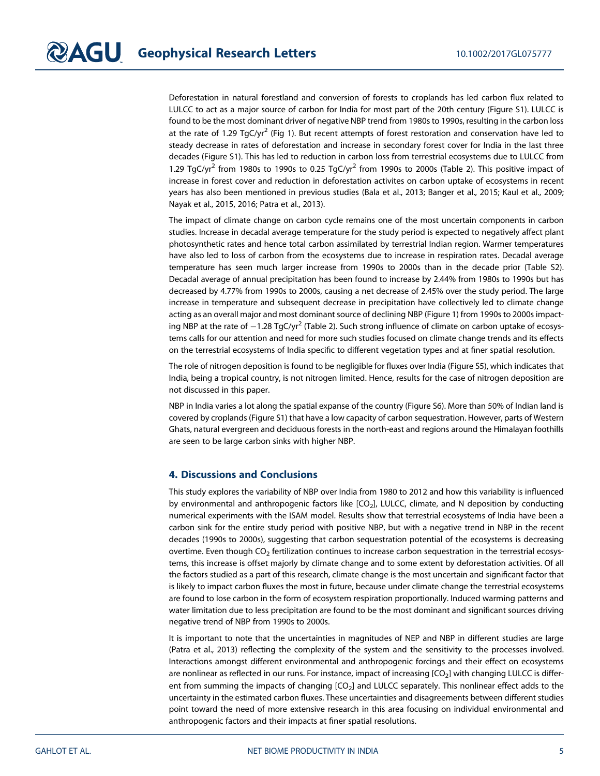Deforestation in natural forestland and conversion of forests to croplands has led carbon flux related to LULCC to act as a major source of carbon for India for most part of the 20th century (Figure S1). LULCC is found to be the most dominant driver of negative NBP trend from 1980s to 1990s, resulting in the carbon loss at the rate of 1.29 TgC/yr<sup>2</sup> (Fig 1). But recent attempts of forest restoration and conservation have led to steady decrease in rates of deforestation and increase in secondary forest cover for India in the last three decades (Figure S1). This has led to reduction in carbon loss from terrestrial ecosystems due to LULCC from 1.29 TgC/yr<sup>2</sup> from 1980s to 1990s to 0.25 TgC/yr<sup>2</sup> from 1990s to 2000s (Table 2). This positive impact of increase in forest cover and reduction in deforestation activites on carbon uptake of ecosystems in recent years has also been mentioned in previous studies (Bala et al., 2013; Banger et al., 2015; Kaul et al., 2009; Nayak et al., 2015, 2016; Patra et al., 2013).

The impact of climate change on carbon cycle remains one of the most uncertain components in carbon studies. Increase in decadal average temperature for the study period is expected to negatively affect plant photosynthetic rates and hence total carbon assimilated by terrestrial Indian region. Warmer temperatures have also led to loss of carbon from the ecosystems due to increase in respiration rates. Decadal average temperature has seen much larger increase from 1990s to 2000s than in the decade prior (Table S2). Decadal average of annual precipitation has been found to increase by 2.44% from 1980s to 1990s but has decreased by 4.77% from 1990s to 2000s, causing a net decrease of 2.45% over the study period. The large increase in temperature and subsequent decrease in precipitation have collectively led to climate change acting as an overall major and most dominant source of declining NBP (Figure 1) from 1990s to 2000s impacting NBP at the rate of  $-1.28$  TgC/yr<sup>2</sup> (Table 2). Such strong influence of climate on carbon uptake of ecosystems calls for our attention and need for more such studies focused on climate change trends and its effects on the terrestrial ecosystems of India specific to different vegetation types and at finer spatial resolution.

The role of nitrogen deposition is found to be negligible for fluxes over India (Figure S5), which indicates that India, being a tropical country, is not nitrogen limited. Hence, results for the case of nitrogen deposition are not discussed in this paper.

NBP in India varies a lot along the spatial expanse of the country (Figure S6). More than 50% of Indian land is covered by croplands (Figure S1) that have a low capacity of carbon sequestration. However, parts of Western Ghats, natural evergreen and deciduous forests in the north-east and regions around the Himalayan foothills are seen to be large carbon sinks with higher NBP.

# 4. Discussions and Conclusions

This study explores the variability of NBP over India from 1980 to 2012 and how this variability is influenced by environmental and anthropogenic factors like [CO<sub>2</sub>], LULCC, climate, and N deposition by conducting numerical experiments with the ISAM model. Results show that terrestrial ecosystems of India have been a carbon sink for the entire study period with positive NBP, but with a negative trend in NBP in the recent decades (1990s to 2000s), suggesting that carbon sequestration potential of the ecosystems is decreasing overtime. Even though  $CO<sub>2</sub>$  fertilization continues to increase carbon sequestration in the terrestrial ecosystems, this increase is offset majorly by climate change and to some extent by deforestation activities. Of all the factors studied as a part of this research, climate change is the most uncertain and significant factor that is likely to impact carbon fluxes the most in future, because under climate change the terrestrial ecosystems are found to lose carbon in the form of ecosystem respiration proportionally. Induced warming patterns and water limitation due to less precipitation are found to be the most dominant and significant sources driving negative trend of NBP from 1990s to 2000s.

It is important to note that the uncertainties in magnitudes of NEP and NBP in different studies are large (Patra et al., 2013) reflecting the complexity of the system and the sensitivity to the processes involved. Interactions amongst different environmental and anthropogenic forcings and their effect on ecosystems are nonlinear as reflected in our runs. For instance, impact of increasing [CO<sub>2</sub>] with changing LULCC is different from summing the impacts of changing  $[CO<sub>2</sub>]$  and LULCC separately. This nonlinear effect adds to the uncertainty in the estimated carbon fluxes. These uncertainties and disagreements between different studies point toward the need of more extensive research in this area focusing on individual environmental and anthropogenic factors and their impacts at finer spatial resolutions.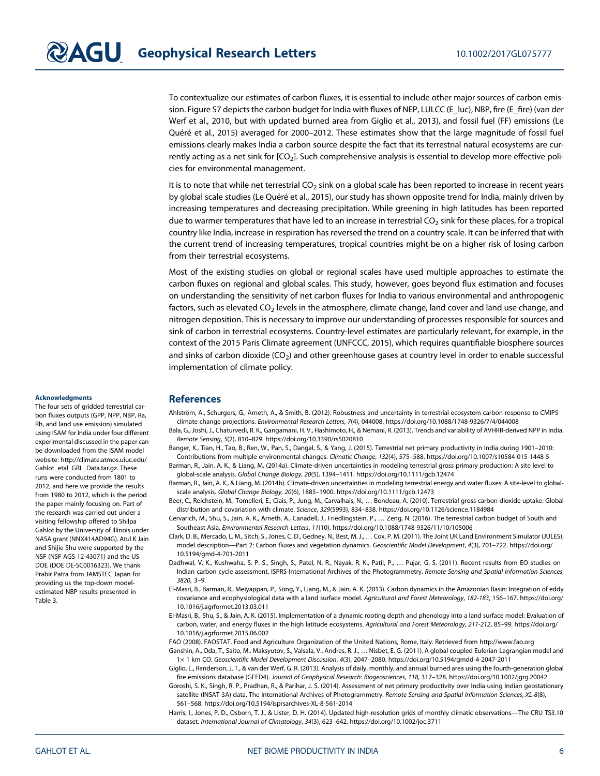To contextualize our estimates of carbon fluxes, it is essential to include other major sources of carbon emission. Figure S7 depicts the carbon budget for India with fluxes of NEP, LULCC (E\_luc), NBP, fire (E\_fire) (van der Werf et al., 2010, but with updated burned area from Giglio et al., 2013), and fossil fuel (FF) emissions (Le Quéré et al., 2015) averaged for 2000–2012. These estimates show that the large magnitude of fossil fuel emissions clearly makes India a carbon source despite the fact that its terrestrial natural ecosystems are currently acting as a net sink for  $[CO<sub>2</sub>]$ . Such comprehensive analysis is essential to develop more effective policies for environmental management.

It is to note that while net terrestrial  $CO<sub>2</sub>$  sink on a global scale has been reported to increase in recent years by global scale studies (Le Quéré et al., 2015), our study has shown opposite trend for India, mainly driven by increasing temperatures and decreasing precipitation. While greening in high latitudes has been reported due to warmer temperatures that have led to an increase in terrestrial  $CO<sub>2</sub>$  sink for these places, for a tropical country like India, increase in respiration has reversed the trend on a country scale. It can be inferred that with the current trend of increasing temperatures, tropical countries might be on a higher risk of losing carbon from their terrestrial ecosystems.

Most of the existing studies on global or regional scales have used multiple approaches to estimate the carbon fluxes on regional and global scales. This study, however, goes beyond flux estimation and focuses on understanding the sensitivity of net carbon fluxes for India to various environmental and anthropogenic factors, such as elevated CO<sub>2</sub> levels in the atmosphere, climate change, land cover and land use change, and nitrogen deposition. This is necessary to improve our understanding of processes responsible for sources and sink of carbon in terrestrial ecosystems. Country-level estimates are particularly relevant, for example, in the context of the 2015 Paris Climate agreement (UNFCCC, 2015), which requires quantifiable biosphere sources and sinks of carbon dioxide ( $CO<sub>2</sub>$ ) and other greenhouse gases at country level in order to enable successful implementation of climate policy.

#### Acknowledgments

The four sets of gridded terrestrial carbon fluxes outputs (GPP, NPP, NBP, Ra, Rh, and land use emission) simulated using ISAM for India under four different experimental discussed in the paper can be downloaded from the ISAM model website: [http://climate.atmos.uiuc.edu/](http://climate.atmos.uiuc.edu/Gahlot_etal_GRL_Data.tar.gz) Gahlot etal GRL Data.tar.gz. These runs were conducted from 1801 to 2012, and here we provide the results from 1980 to 2012, which is the period the paper mainly focusing on. Part of the research was carried out under a visiting fellowship offered to Shilpa Gahlot by the University of Illinois under NASA grant (NNX414AD94G). Atul K Jain and Shijie Shu were supported by the NSF (NSF AGS 12-43071) and the US DOE (DOE DE-SC0016323). We thank Prabir Patra from JAMSTEC Japan for providing us the top-down modelestimated NBP results presented in Table 3.

# **References**

- Ahlström, A., Schurgers, G., Arneth, A., & Smith, B. (2012). Robustness and uncertainty in terrestrial ecosystem carbon response to CMIP5 climate change projections. Environmental Research Letters, 7(4), 044008.<https://doi.org/10.1088/1748-9326/7/4/044008>
- Bala, G., Joshi, J., Chaturvedi, R. K., Gangamani, H. V., Hashimoto, H., & Nemani, R. (2013). Trends and variability of AVHRR-derived NPP in India. Remote Sensing, 5(2), 810–829.<https://doi.org/10.3390/rs5020810>
- Banger, K., Tian, H., Tao, B., Ren, W., Pan, S., Dangal, S., & Yang, J. (2015). Terrestrial net primary productivity in India during 1901–2010: Contributions from multiple environmental changes. Climatic Change, 132(4), 575–588.<https://doi.org/10.1007/s10584-015-1448-5> Barman, R., Jain, A. K., & Liang, M. (2014a). Climate-driven uncertainties in modeling terrestrial gross primary production: A site level to
	- global-scale analysis. Global Change Biology, 20(5), 1394–1411.<https://doi.org/10.1111/gcb.12474>
- Barman, R., Jain, A. K., & Liang, M. (2014b). Climate-driven uncertainties in modeling terrestrial energy and water fluxes: A site-level to globalscale analysis. Global Change Biology, 20(6), 1885–1900.<https://doi.org/10.1111/gcb.12473>
- Beer, C., Reichstein, M., Tomelleri, E., Ciais, P., Jung, M., Carvalhais, N., … Bondeau, A. (2010). Terrestrial gross carbon dioxide uptake: Global distribution and covariation with climate. Science, 329(5993), 834–838.<https://doi.org/10.1126/science.1184984>
- Cervarich, M., Shu, S., Jain, A. K., Arneth, A., Canadell, J., Friedlingstein, P., … Zeng, N. (2016). The terrestrial carbon budget of South and Southeast Asia. Environmental Research Letters, 11(10).<https://doi.org/10.1088/1748-9326/11/10/105006>
- Clark, D. B., Mercado, L. M., Sitch, S., Jones, C. D., Gedney, N., Best, M. J., … Cox, P. M. (2011). The Joint UK Land Environment Simulator (JULES), model description—Part 2: Carbon fluxes and vegetation dynamics. Geoscientific Model Development, 4(3), 701–722. [https://doi.org/](https://doi.org/10.5194/gmd-4-701-2011) [10.5194/gmd-4-701-2011](https://doi.org/10.5194/gmd-4-701-2011)
- Dadhwal, V. K., Kushwaha, S. P. S., Singh, S., Patel, N. R., Nayak, R. K., Patil, P., … Pujar, G. S. (2011). Recent results from EO studies on Indian carbon cycle assessment, ISPRS-International Archives of the Photogrammetry. Remote Sensing and Spatial Information Sciences, 3820, 3–9.
- El-Masri, B., Barman, R., Meiyappan, P., Song, Y., Liang, M., & Jain, A. K. (2013). Carbon dynamics in the Amazonian Basin: Integration of eddy covariance and ecophysiological data with a land surface model. Agricultural and Forest Meteorology, 182-183, 156–167. [https://doi.org/](https://doi.org/10.1016/j.agrformet.2013.03.011) [10.1016/j.agrformet.2013.03.011](https://doi.org/10.1016/j.agrformet.2013.03.011)
- El-Masri, B., Shu, S., & Jain, A. K. (2015). Implementation of a dynamic rooting depth and phenology into a land surface model: Evaluation of carbon, water, and energy fluxes in the high latitude ecosystems. Agricultural and Forest Meteorology, 211-212, 85–99. [https://doi.org/](https://doi.org/10.1016/j.agrformet.2015.06.002) [10.1016/j.agrformet.2015.06.002](https://doi.org/10.1016/j.agrformet.2015.06.002)
- FAO (2008). FAOSTAT. Food and Agriculture Organization of the United Nations, Rome, Italy. Retrieved from<http://www.fao.org> Ganshin, A., Oda, T., Saito, M., Maksyutov, S., Valsala, V., Andres, R. J., … Nisbet, E. G. (2011). A global coupled Eulerian-Lagrangian model and
- 1× 1 km CO. Geoscientific Model Development Discussion, 4(3), 2047–2080.<https://doi.org/10.5194/gmdd-4-2047-2011>
- Giglio, L., Randerson, J. T., & van der Werf, G. R. (2013). Analysis of daily, monthly, and annual burned area using the fourth-generation global fire emissions database (GFED4). Journal of Geophysical Research: Biogeosciences, 118, 317–328.<https://doi.org/10.1002/jgrg.20042>
- Goroshi, S. K., Singh, R. P., Pradhan, R., & Parihar, J. S. (2014). Assessment of net primary productivity over India using Indian geostationary satellite (INSAT-3A) data, The International Archives of Photogrammetry. Remote Sensing and Spatial Information Sciences, XL-8(8), 561–568.<https://doi.org/10.5194/isprsarchives-XL-8-561-2014>
- Harris, I., Jones, P. D., Osborn, T. J., & Lister, D. H. (2014). Updated high-resolution grids of monthly climatic observations—The CRU TS3.10 dataset. International Journal of Climatology, 34(3), 623–642.<https://doi.org/10.1002/joc.3711>